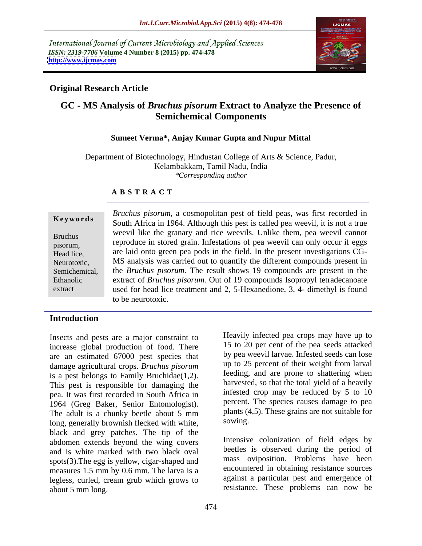International Journal of Current Microbiology and Applied Sciences *ISSN: 2319-7706* **Volume 4 Number 8 (2015) pp. 474-478 <http://www.ijcmas.com>**



# **Original Research Article**

# **GC - MS Analysis of** *Bruchus pisorum* **Extract to Analyze the Presence of Semichemical Components**

### **Sumeet Verma\*, Anjay Kumar Gupta and Nupur Mittal**

Department of Biotechnology, Hindustan College of Arts & Science, Padur, Kelambakkam, Tamil Nadu, India *\*Corresponding author*

#### **A B S T R A C T**

extract

*Bruchus pisorum*, a cosmopolitan pest of field peas, was first recorded in **Keywords** South Africa in 1964. Although this pest is called pea weevil, it is not a true weevil like the granary and rice weevils. Unlike them, pea weevil cannot Bruchus<br>
reproduce in stored grain. Infestations of pea weevil can only occur if eggs Head lice, are laid onto green pea pods in the field. In the present investigations CG-MS analysis was carried out to quantify the different compounds present in Neurotoxic, Semichemical, the *Bruchus pisorum*. The result shows 19 compounds are present in the extract of *Bruchus pisorum.* Out of 19 compounds Isopropyl tetradecanoate Ethanolic used for head lice treatment and 2, 5-Hexanedione, 3, 4- dimethyl is found to be neurotoxic. pisorum, reproduce in stored grain. Infestations of pea weever can only occur if eggs

# **Introduction**

Insects and pests are a major constraint to increase global production of food. There are an estimated 67000 pest species that damage agricultural crops. *Bruchus pisorum* is a pest belongs to Family Bruchidae $(1,2)$ . This pest is responsible for damaging the pea. It was first recorded in South Africa in 1964 (Greg Baker, Senior Entomologist). The adult is a chunky beetle about 5 mm plants (4<br>long generally brownish flecked with white sowing. long, generally brownish flecked with white, black and grey patches. The tip of the abdomen extends beyond the wing covers and is white marked with two black oval spots(3).The egg is yellow, cigar-shaped and measures 1.5 mm by 0.6 mm. The larva is a legless, curled, cream grub which grows to about 5 mm long.  $\overline{S}$  resistance. These problems can now be

Heavily infected pea crops may have up to 15 to 20 per cent of the pea seeds attacked by pea weevil larvae. Infested seeds can lose up to 25 percent of their weight from larval feeding, and are prone to shattering when harvested, so that the total yield of a heavily infested crop may be reduced by 5 to 10 percent. The species causes damage to pea plants (4,5). These grains are not suitable for sowing.

Intensive colonization of field edges by beetles is observed during the period of mass oviposition. Problems have been encountered in obtaining resistance sources against a particular pest and emergence of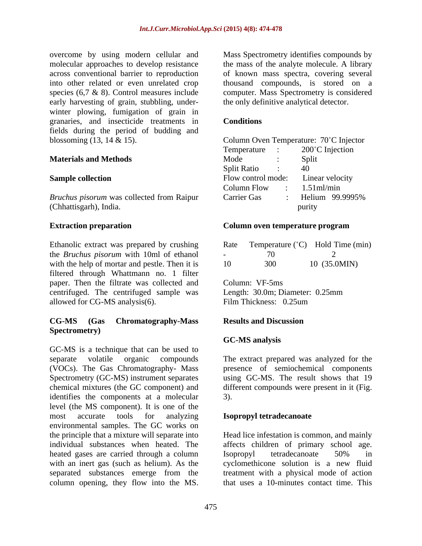overcome by using modern cellular and Mass Spectrometry identifies compounds by early harvesting of grain, stubbling, under winter plowing, fumigation of grain in granaries, and insecticide treatments in fields during the period of budding and blossoming (13, 14 & 15).

### **Materials and Methods**

Ethanolic extract was prepared by crushing the *Bruchus pisorum* with 10ml of ethanol with the help of mortar and pestle. Then it is filtered through Whattmann no. 1 filter paper. Then the filtrate was collected and Column: VF-5ms centrifuged. The centrifuged sample was Length: 30.0m; Diameter: 0.25mm allowed for CG-MS analysis(6). Film Thickness: 0.25um

## **CG-MS (Gas Chromatography-Mass Spectrometry)**

GC-MS is a technique that can be used to separate volatile organic compounds The extract prepared was analyzed for the (VOCs). The Gas Chromatography- Mass presence of semiochemical components Spectrometry (GC-MS) instrument separates chemical mixtures (the GC component) and different compounds were present in it (Fig. identifies the components at a molecular level (the MS component). It is one of the most accurate tools for analyzing **Isopropyl tetradecanoate** environmental samples. The GC works on the principle that a mixture will separate into Head lice infestation is common, and mainly individual substances when heated. The affects children of primary school age. heated gases are carried through a column Isopropyl tetradecanoate 50% in with an inert gas (such as helium). As the cyclomethicone solution is a new fluid separated substances emerge from the coverage they used model and the MS spectrometric computation of the MS. Spectrometric compounds by the model and the model and the model of the MS. The model of the MS. The model of the MS. Mass Spectrometry is the model

molecular approaches to develop resistance the mass of the analyte molecule. A library across conventional barrier to reproduction of known mass spectra, covering several into other related or even unrelated crop thousand compounds, is stored on a species (6,7 & 8). Control measures include computer. Mass Spectrometry is considered the only definitive analytical detector.

### **Conditions**

| Column Oven Temperature: 70°C Injector |
|----------------------------------------|
| 200°C Injection<br><i>l</i> emperature |
| Split<br>Mode                          |
| <b>Split Ratio</b>                     |
| Linear velocity<br>Flow control mode:  |
| Column Flow<br>$.51$ ml/min            |
| Helium 99.9995%<br>Carrier Gas         |
| purity                                 |
|                                        |

#### **Extraction preparation Extraction Column oven temperature program Column oven temperature program**

| Rate | $\sim$<br>Femperature (  | Hold Time (min) |  |  |  |
|------|--------------------------|-----------------|--|--|--|
|      | $\overline{\phantom{0}}$ |                 |  |  |  |
| 10   | 300                      | 10 (35.0MIN)    |  |  |  |

Column: VF-5ms Length: 30.0m; Diameter: 0.25mm Film Thickness: 0.25um

#### **Results and Discussion**

### **GC-MS analysis**

using GC-MS. The result shows that 19 3).

#### **Isopropyl tetradecanoate**

Isopropyl tetradecanoate 50% in treatment with a physical mode of action that uses a 10-minutes contact time. This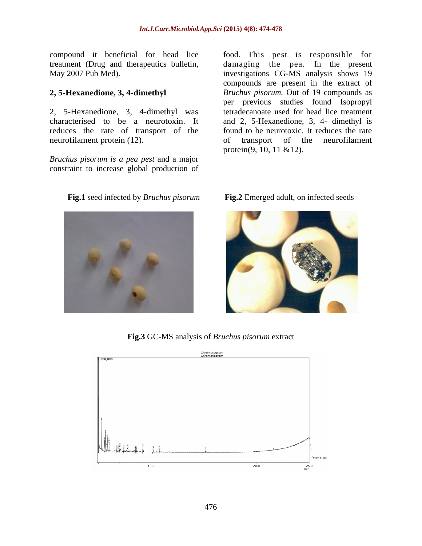compound it beneficial for head lice

2, 5-Hexanedione, 3, 4-dimethyl was reduces the rate of transport of the neurofilament protein (12). of transport of the neurofilament

*Bruchus pisorum is a pea pest* and a major constraint to increase global production of

treatment (Drug and therapeutics bulletin, damaging the pea. In the present May 2007 Pub Med). investigations CG-MS analysis shows 19 **2, 5-Hexanedione, 3, 4-dimethyl** *Bruchus pisorum.* Out of 19 compounds as characterised to be a neurotoxin. It and 2, 5-Hexanedione, 3, 4- dimethyl is food. This pest is responsible for compounds are present in the extract of per previous studies found Isopropyl tetradecanoate used for head lice treatment found to be neurotoxic. It reduces the rate of transport of the neurofilament protein(9, 10, 11 &12).



### **Fig.1** seed infected by *Bruchus pisorum* **Fig.2** Emerged adult, on infected seeds



**Fig.3** GC-MS analysis of *Bruchus pisorum* extract

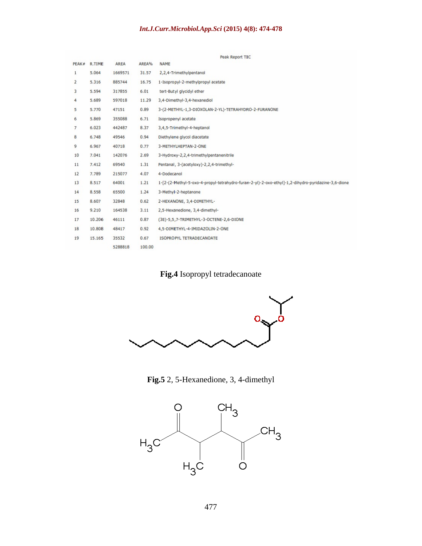# *Int.J.Curr.Microbiol.App.Sci* **(2015) 4(8): 474-478**

|              |        |         |        | Peak Report TIC                                                                                    |
|--------------|--------|---------|--------|----------------------------------------------------------------------------------------------------|
| PEAK#        | R.TIME | AREA    | AREA%  | <b>NAME</b>                                                                                        |
| $\mathbf{1}$ | 5.064  | 1669571 | 31.57  | 2,2,4-Trimethylpentanol                                                                            |
| 2            | 5.316  | 885744  | 16.75  | 1-Isopropyl-2-methylpropyl acetate                                                                 |
| 3            | 5.594  | 317855  | 6.01   | tert-Butyl glycidyl ether                                                                          |
| 4            | 5.689  | 597018  | 11.29  | 3,4-Dimethyl-3,4-hexanediol                                                                        |
| 5            | 5.770  | 47151   | 0.89   | 3-(2-METHYL-1,3-DIOXOLAN-2-YL)-TETRAHYDRO-2-FURANONE                                               |
| 6            | 5.869  | 355088  | 6.71   | Isopropenyl acetate                                                                                |
| 7            | 6.023  | 442487  | 8.37   | 3,4,5-Trimethyl-4-heptanol                                                                         |
| 8            | 6.748  | 49546   | 0.94   | Diethylene glycol diacetate                                                                        |
| 9            | 6.967  | 40718   | 0.77   | 3-METHYLHEPTAN-2-ONE                                                                               |
| 10           | 7.041  | 142076  | 2.69   | 3-Hydroxy-2,2,4-trimethylpentanenitrile                                                            |
| 11           | 7.412  | 69540   | 1.31   | Pentanal, 3-(acetyloxy)-2,2,4-trimethyl-                                                           |
| 12           | 7.789  | 215077  | 4.07   | 4-Dodecanol                                                                                        |
| 13           | 8.517  | 64001   | 1.21   | 1-[2-(2-Methyl-5-oxo-4-propyl-tetrahydro-furan-2-yl)-2-oxo-ethyl]-1,2-dihydro-pyridazine-3,6-dione |
| 14           | 8.558  | 65500   | 1.24   | 3-Methyl-2-heptanone                                                                               |
| 15           | 8.607  | 32848   | 0.62   | 2-HEXANONE, 3,4-DIMETHYL-                                                                          |
| 16           | 9.210  | 164538  | 3.11   | 2,5-Hexanedione, 3,4-dimethyl-                                                                     |
| 17           | 10.206 | 46111   | 0.87   | (3E)-5,5,7-TRIMETHYL-3-OCTENE-2,6-DIONE                                                            |
| 18           | 10.808 | 48417   | 0.92   | 4.5-DIMETHYL-4-IMIDAZOLIN-2-ONE                                                                    |
| 19           | 15.165 | 35532   | 0.67   | ISOPROPYL TETRADECANOATE                                                                           |
|              |        | 5288818 | 100.00 |                                                                                                    |

**Fig.4** Isopropyl tetradecanoate



**Fig.5** 2, 5-Hexanedione, 3, 4-dimethyl